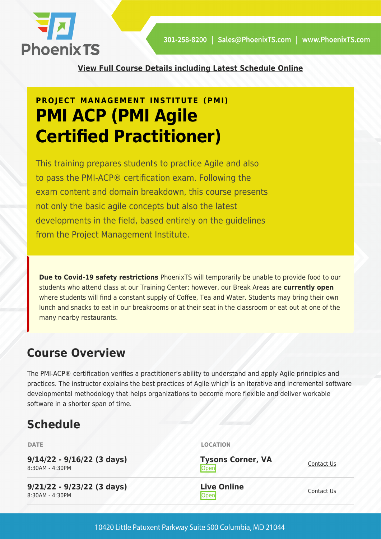

**[View Full Course Details including Latest Schedule Online](https://phoenixts.com/training-courses/pmi-agile-certified-practitioner/)**

# **PROJECT MANAGEMENT INSTITUTE (PMI) PMI ACP (PMI Agile Certified Practitioner)**

This training prepares students to practice Agile and also to pass the PMI-ACP® certification exam. Following the exam content and domain breakdown, this course presents not only the basic agile concepts but also the latest developments in the field, based entirely on the guidelines from the Project Management Institute.

**Due to Covid-19 safety restrictions** PhoenixTS will temporarily be unable to provide food to our students who attend class at our Training Center; however, our Break Areas are **currently open** where students will find a constant supply of Coffee, Tea and Water. Students may bring their own lunch and snacks to eat in our breakrooms or at their seat in the classroom or eat out at one of the many nearby restaurants.

## **Course Overview**

The PMI-ACP® certification verifies a practitioner's ability to understand and apply Agile principles and practices. The instructor explains the best practices of Agile which is an iterative and incremental software developmental methodology that helps organizations to become more flexible and deliver workable software in a shorter span of time.

## **Schedule**

| <b>DATE</b>                                     | <b>LOCATION</b>                  |            |
|-------------------------------------------------|----------------------------------|------------|
| $9/14/22 - 9/16/22$ (3 days)<br>8:30AM - 4:30PM | <b>Tysons Corner, VA</b><br>Open | Contact Us |
| $9/21/22 - 9/23/22$ (3 days)<br>8:30AM - 4:30PM | <b>Live Online</b><br>Open       | Contact Us |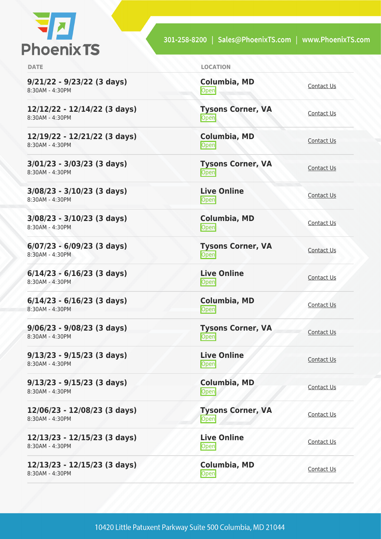

301-258-8200 | Sales@PhoenixTS.com | www.PhoenixTS.com

| <b>DATE</b>                                       | <b>LOCATION</b>                  |                   |
|---------------------------------------------------|----------------------------------|-------------------|
| $9/21/22 - 9/23/22$ (3 days)<br>8:30AM - 4:30PM   | <b>Columbia, MD</b><br>Open      | Contact Us        |
| 12/12/22 - 12/14/22 (3 days)<br>8:30AM - 4:30PM   | <b>Tysons Corner, VA</b><br>Open | Contact Us        |
| 12/19/22 - 12/21/22 (3 days)<br>8:30AM - 4:30PM   | <b>Columbia, MD</b><br>Open      | Contact Us        |
| $3/01/23 - 3/03/23$ (3 days)<br>8:30AM - 4:30PM   | <b>Tysons Corner, VA</b><br>Open | Contact Us        |
| $3/08/23 - 3/10/23$ (3 days)<br>8:30AM - 4:30PM   | <b>Live Online</b><br>Open       | Contact Us        |
| $3/08/23 - 3/10/23$ (3 days)<br>8:30AM - 4:30PM   | <b>Columbia, MD</b><br>Open      | Contact Us        |
| $6/07/23 - 6/09/23$ (3 days)<br>8:30AM - 4:30PM   | <b>Tysons Corner, VA</b><br>Open | Contact Us        |
| $6/14/23 - 6/16/23$ (3 days)<br>8:30AM - 4:30PM   | <b>Live Online</b><br>Open       | Contact Us        |
| $6/14/23 - 6/16/23$ (3 days)<br>8:30AM - 4:30PM   | Columbia, MD<br>Open             | Contact Us        |
| $9/06/23 - 9/08/23$ (3 days)<br>8:30AM - 4:30PM   | <b>Tysons Corner, VA</b><br>Open | Contact Us        |
| $9/13/23 - 9/15/23$ (3 days)<br>8:30AM - 4:30PM   | <b>Live Online</b><br>Open       | Contact Us        |
| $9/13/23 - 9/15/23$ (3 days)<br>8:30AM - 4:30PM   | Columbia, MD<br>Open             | Contact Us        |
| 12/06/23 - 12/08/23 (3 days)<br>8:30AM - 4:30PM   | <b>Tysons Corner, VA</b><br>Open | <b>Contact Us</b> |
| 12/13/23 - 12/15/23 (3 days)<br>8:30AM - 4:30PM   | <b>Live Online</b><br>Open       | <b>Contact Us</b> |
| $12/13/23 - 12/15/23$ (3 days)<br>8:30AM - 4:30PM | Columbia, MD<br>Open             | <b>Contact Us</b> |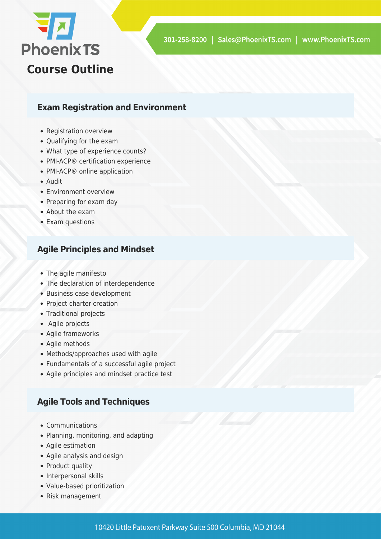

#### **Exam Registration and Environment**

- Registration overview
- Qualifying for the exam
- What type of experience counts?
- PMI-ACP® certification experience
- PMI-ACP® online application
- Audit
- Environment overview
- Preparing for exam day
- About the exam
- Exam questions

#### **Agile Principles and Mindset**

- The agile manifesto
- The declaration of interdependence
- Business case development
- Project charter creation
- Traditional projects
- Agile projects
- Agile frameworks
- Agile methods
- Methods/approaches used with agile
- Fundamentals of a successful agile project
- Agile principles and mindset practice test

#### **Agile Tools and Techniques**

- Communications
- Planning, monitoring, and adapting
- Agile estimation
- Agile analysis and design
- Product quality
- Interpersonal skills
- Value-based prioritization
- Risk management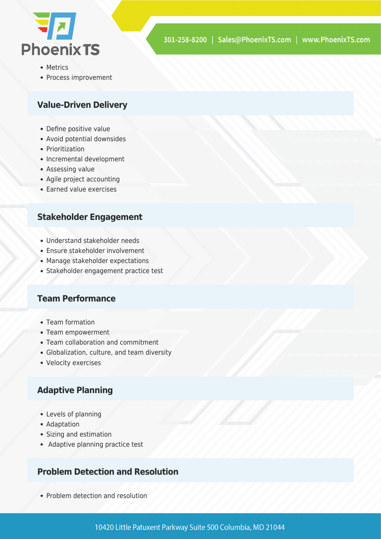

- Metrics
- Process improvement

#### **Value-Driven Delivery**

- Define positive value
- Avoid potential downsides
- Prioritization
- Incremental development
- Assessing value
- Agile project accounting
- Earned value exercises

#### **Stakeholder Engagement**

- Understand stakeholder needs
- Ensure stakeholder involvement
- Manage stakeholder expectations
- Stakeholder engagement practice test

#### **Team Performance**

- Team formation
- Team empowerment
- Team collaboration and commitment
- Globalization, culture, and team diversity
- Velocity exercises

#### **Adaptive Planning**

- Levels of planning
- Adaptation
- Sizing and estimation
- Adaptive planning practice test

#### **Problem Detection and Resolution**

• Problem detection and resolution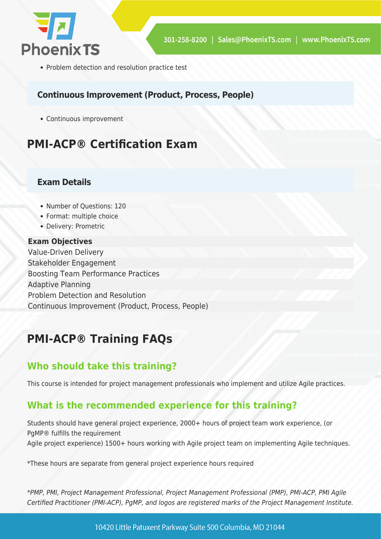

• Problem detection and resolution practice test

#### **Continuous Improvement (Product, Process, People)**

Continuous improvement

# **PMI-ACP® Certification Exam**

#### **Exam Details**

- Number of Questions: 120
- Format: multiple choice
- Delivery: Prometric

#### **Exam Objectives**

Value-Driven Delivery Stakeholder Engagement Boosting Team Performance Practices Adaptive Planning Problem Detection and Resolution Continuous Improvement (Product, Process, People)

## **PMI-ACP® Training FAQs**

#### **Who should take this training?**

This course is intended for project management professionals who implement and utilize Agile practices.

#### **What is the recommended experience for this training?**

Students should have general project experience, 2000+ hours of project team work experience, (or PgMP® fulfills the requirement Agile project experience) 1500+ hours working with Agile project team on implementing Agile techniques.

\*These hours are separate from general project experience hours required

\*PMP, PMI, Project Management Professional, Project Management Professional (PMP), PMI-ACP, PMI Agile Certified Practitioner (PMI-ACP), PgMP, and logos are registered marks of the Project Management Institute.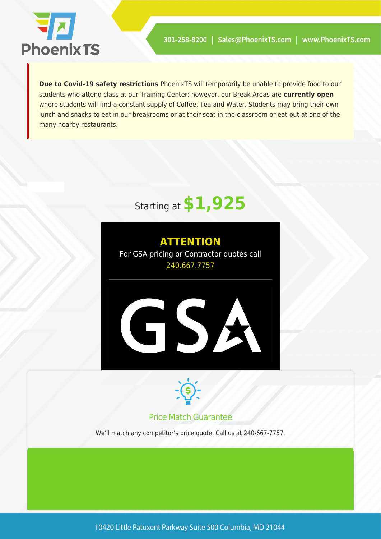

**Due to Covid-19 safety restrictions** PhoenixTS will temporarily be unable to provide food to our students who attend class at our Training Center; however, our Break Areas are **currently open** where students will find a constant supply of Coffee, Tea and Water. Students may bring their own lunch and snacks to eat in our breakrooms or at their seat in the classroom or eat out at one of the many nearby restaurants.

# Starting at **\$1,925**





#### Price Match Guarantee

We'll match any competitor's price quote. Call us at 240-667-7757.

10420 Little Patuxent Parkway Suite 500 Columbia, MD 21044